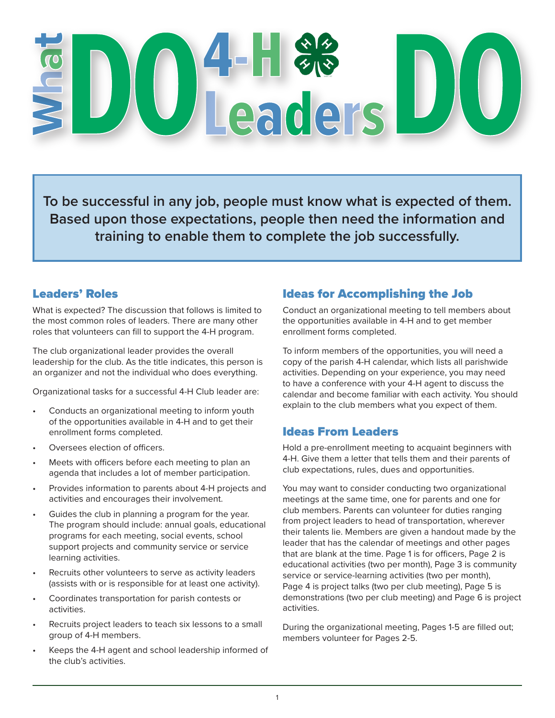# Leaders

**To be successful in any job, people must know what is expected of them. Based upon those expectations, people then need the information and training to enable them to complete the job successfully.**

### Leaders' Roles

What is expected? The discussion that follows is limited to the most common roles of leaders. There are many other roles that volunteers can fill to support the 4-H program.

The club organizational leader provides the overall leadership for the club. As the title indicates, this person is an organizer and not the individual who does everything.

Organizational tasks for a successful 4-H Club leader are:

- Conducts an organizational meeting to inform youth of the opportunities available in 4-H and to get their enrollment forms completed.
- Oversees election of officers.
- Meets with officers before each meeting to plan an agenda that includes a lot of member participation.
- Provides information to parents about 4-H projects and activities and encourages their involvement.
- Guides the club in planning a program for the year. The program should include: annual goals, educational programs for each meeting, social events, school support projects and community service or service learning activities.
- Recruits other volunteers to serve as activity leaders (assists with or is responsible for at least one activity).
- Coordinates transportation for parish contests or activities.
- Recruits project leaders to teach six lessons to a small group of 4-H members.
- Keeps the 4-H agent and school leadership informed of the club's activities.

# Ideas for Accomplishing the Job

Conduct an organizational meeting to tell members about the opportunities available in 4-H and to get member enrollment forms completed.

To inform members of the opportunities, you will need a copy of the parish 4-H calendar, which lists all parishwide activities. Depending on your experience, you may need to have a conference with your 4-H agent to discuss the calendar and become familiar with each activity. You should explain to the club members what you expect of them.

# Ideas From Leaders

Hold a pre-enrollment meeting to acquaint beginners with 4-H. Give them a letter that tells them and their parents of club expectations, rules, dues and opportunities.

You may want to consider conducting two organizational meetings at the same time, one for parents and one for club members. Parents can volunteer for duties ranging from project leaders to head of transportation, wherever their talents lie. Members are given a handout made by the leader that has the calendar of meetings and other pages that are blank at the time. Page 1 is for officers, Page 2 is educational activities (two per month), Page 3 is community service or service-learning activities (two per month), Page 4 is project talks (two per club meeting), Page 5 is demonstrations (two per club meeting) and Page 6 is project activities.

During the organizational meeting, Pages 1-5 are filled out; members volunteer for Pages 2-5.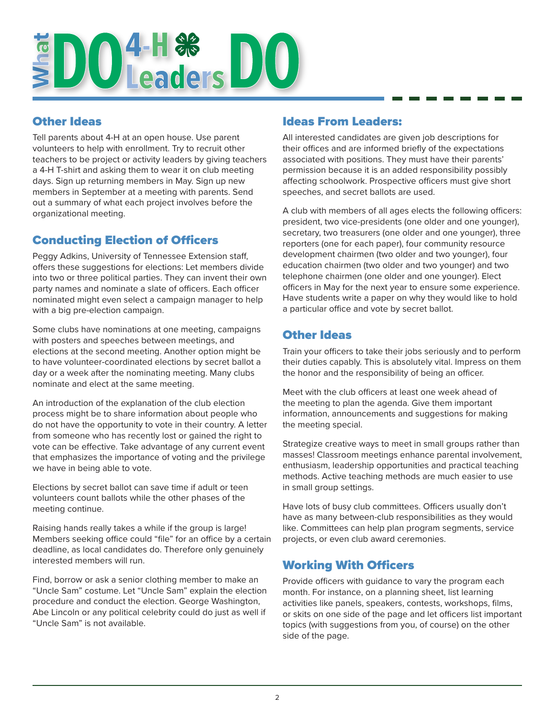# **EDO 4-H & DO**

### Other Ideas

Tell parents about 4-H at an open house. Use parent volunteers to help with enrollment. Try to recruit other teachers to be project or activity leaders by giving teachers a 4-H T-shirt and asking them to wear it on club meeting days. Sign up returning members in May. Sign up new members in September at a meeting with parents. Send out a summary of what each project involves before the organizational meeting.

# Conducting Election of Officers

Peggy Adkins, University of Tennessee Extension staff, offers these suggestions for elections: Let members divide into two or three political parties. They can invent their own party names and nominate a slate of officers. Each officer nominated might even select a campaign manager to help with a big pre-election campaign.

Some clubs have nominations at one meeting, campaigns with posters and speeches between meetings, and elections at the second meeting. Another option might be to have volunteer-coordinated elections by secret ballot a day or a week after the nominating meeting. Many clubs nominate and elect at the same meeting.

An introduction of the explanation of the club election process might be to share information about people who do not have the opportunity to vote in their country. A letter from someone who has recently lost or gained the right to vote can be effective. Take advantage of any current event that emphasizes the importance of voting and the privilege we have in being able to vote.

Elections by secret ballot can save time if adult or teen volunteers count ballots while the other phases of the meeting continue.

Raising hands really takes a while if the group is large! Members seeking office could "file" for an office by a certain deadline, as local candidates do. Therefore only genuinely interested members will run.

Find, borrow or ask a senior clothing member to make an "Uncle Sam" costume. Let "Uncle Sam" explain the election procedure and conduct the election. George Washington, Abe Lincoln or any political celebrity could do just as well if "Uncle Sam" is not available.

### Ideas From Leaders:

All interested candidates are given job descriptions for their offices and are informed briefly of the expectations associated with positions. They must have their parents' permission because it is an added responsibility possibly affecting schoolwork. Prospective officers must give short speeches, and secret ballots are used.

A club with members of all ages elects the following officers: president, two vice-presidents (one older and one younger), secretary, two treasurers (one older and one younger), three reporters (one for each paper), four community resource development chairmen (two older and two younger), four education chairmen (two older and two younger) and two telephone chairmen (one older and one younger). Elect officers in May for the next year to ensure some experience. Have students write a paper on why they would like to hold a particular office and vote by secret ballot.

# Other Ideas

Train your officers to take their jobs seriously and to perform their duties capably. This is absolutely vital. Impress on them the honor and the responsibility of being an officer.

Meet with the club officers at least one week ahead of the meeting to plan the agenda. Give them important information, announcements and suggestions for making the meeting special.

Strategize creative ways to meet in small groups rather than masses! Classroom meetings enhance parental involvement, enthusiasm, leadership opportunities and practical teaching methods. Active teaching methods are much easier to use in small group settings.

Have lots of busy club committees. Officers usually don't have as many between-club responsibilities as they would like. Committees can help plan program segments, service projects, or even club award ceremonies.

# Working With Officers

Provide officers with guidance to vary the program each month. For instance, on a planning sheet, list learning activities like panels, speakers, contests, workshops, films, or skits on one side of the page and let officers list important topics (with suggestions from you, of course) on the other side of the page.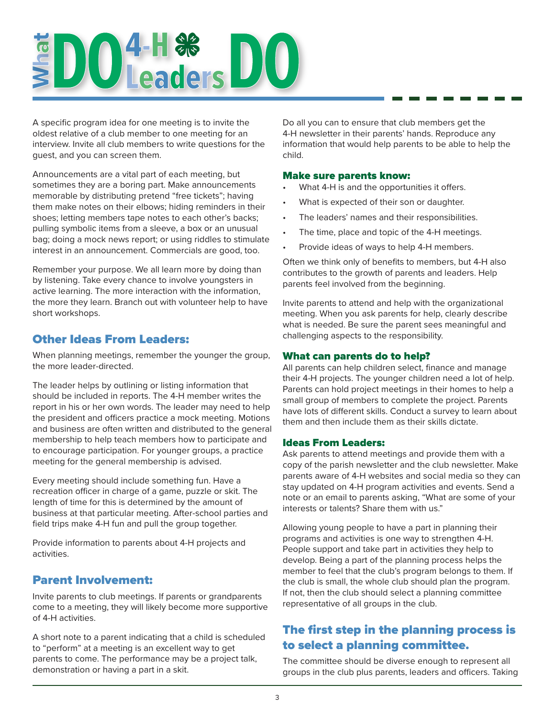# **EDO 4-H & DO**

A specific program idea for one meeting is to invite the oldest relative of a club member to one meeting for an interview. Invite all club members to write questions for the guest, and you can screen them.

Announcements are a vital part of each meeting, but sometimes they are a boring part. Make announcements memorable by distributing pretend "free tickets"; having them make notes on their elbows; hiding reminders in their shoes; letting members tape notes to each other's backs; pulling symbolic items from a sleeve, a box or an unusual bag; doing a mock news report; or using riddles to stimulate interest in an announcement. Commercials are good, too.

Remember your purpose. We all learn more by doing than by listening. Take every chance to involve youngsters in active learning. The more interaction with the information, the more they learn. Branch out with volunteer help to have short workshops.

### Other Ideas From Leaders:

When planning meetings, remember the younger the group, the more leader-directed.

The leader helps by outlining or listing information that should be included in reports. The 4-H member writes the report in his or her own words. The leader may need to help the president and officers practice a mock meeting. Motions and business are often written and distributed to the general membership to help teach members how to participate and to encourage participation. For younger groups, a practice meeting for the general membership is advised.

Every meeting should include something fun. Have a recreation officer in charge of a game, puzzle or skit. The length of time for this is determined by the amount of business at that particular meeting. After-school parties and field trips make 4-H fun and pull the group together.

Provide information to parents about 4-H projects and activities.

# Parent Involvement:

Invite parents to club meetings. If parents or grandparents come to a meeting, they will likely become more supportive of 4-H activities.

A short note to a parent indicating that a child is scheduled to "perform" at a meeting is an excellent way to get parents to come. The performance may be a project talk, demonstration or having a part in a skit.

Do all you can to ensure that club members get the 4-H newsletter in their parents' hands. Reproduce any information that would help parents to be able to help the child.

#### Make sure parents know:

- What 4-H is and the opportunities it offers.
- What is expected of their son or daughter.
- The leaders' names and their responsibilities.
- The time, place and topic of the 4-H meetings.
- Provide ideas of ways to help 4-H members.

Often we think only of benefits to members, but 4-H also contributes to the growth of parents and leaders. Help parents feel involved from the beginning.

Invite parents to attend and help with the organizational meeting. When you ask parents for help, clearly describe what is needed. Be sure the parent sees meaningful and challenging aspects to the responsibility.

#### What can parents do to help?

All parents can help children select, finance and manage their 4-H projects. The younger children need a lot of help. Parents can hold project meetings in their homes to help a small group of members to complete the project. Parents have lots of different skills. Conduct a survey to learn about them and then include them as their skills dictate.

#### Ideas From Leaders:

Ask parents to attend meetings and provide them with a copy of the parish newsletter and the club newsletter. Make parents aware of 4-H websites and social media so they can stay updated on 4-H program activities and events. Send a note or an email to parents asking, "What are some of your interests or talents? Share them with us."

Allowing young people to have a part in planning their programs and activities is one way to strengthen 4-H. People support and take part in activities they help to develop. Being a part of the planning process helps the member to feel that the club's program belongs to them. If the club is small, the whole club should plan the program. If not, then the club should select a planning committee representative of all groups in the club.

# The first step in the planning process is to select a planning committee.

The committee should be diverse enough to represent all groups in the club plus parents, leaders and officers. Taking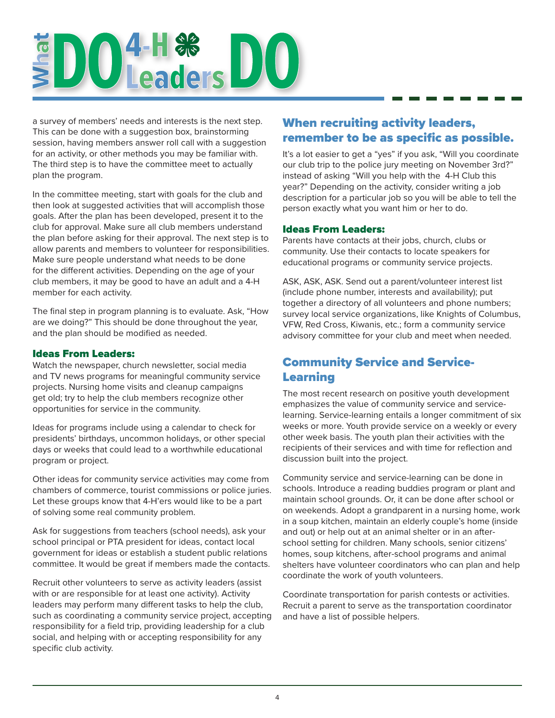# **EDO 4-H & DO**

a survey of members' needs and interests is the next step. This can be done with a suggestion box, brainstorming session, having members answer roll call with a suggestion for an activity, or other methods you may be familiar with. The third step is to have the committee meet to actually plan the program.

In the committee meeting, start with goals for the club and then look at suggested activities that will accomplish those goals. After the plan has been developed, present it to the club for approval. Make sure all club members understand the plan before asking for their approval. The next step is to allow parents and members to volunteer for responsibilities. Make sure people understand what needs to be done for the different activities. Depending on the age of your club members, it may be good to have an adult and a 4-H member for each activity.

The final step in program planning is to evaluate. Ask, "How are we doing?" This should be done throughout the year, and the plan should be modified as needed.

#### Ideas From Leaders:

Watch the newspaper, church newsletter, social media and TV news programs for meaningful community service projects. Nursing home visits and cleanup campaigns get old; try to help the club members recognize other opportunities for service in the community.

Ideas for programs include using a calendar to check for presidents' birthdays, uncommon holidays, or other special days or weeks that could lead to a worthwhile educational program or project.

Other ideas for community service activities may come from chambers of commerce, tourist commissions or police juries. Let these groups know that 4-H'ers would like to be a part of solving some real community problem.

Ask for suggestions from teachers (school needs), ask your school principal or PTA president for ideas, contact local government for ideas or establish a student public relations committee. It would be great if members made the contacts.

Recruit other volunteers to serve as activity leaders (assist with or are responsible for at least one activity). Activity leaders may perform many different tasks to help the club, such as coordinating a community service project, accepting responsibility for a field trip, providing leadership for a club social, and helping with or accepting responsibility for any specific club activity.

# When recruiting activity leaders, remember to be as specific as possible.

It's a lot easier to get a "yes" if you ask, "Will you coordinate our club trip to the police jury meeting on November 3rd?" instead of asking "Will you help with the 4-H Club this year?" Depending on the activity, consider writing a job description for a particular job so you will be able to tell the person exactly what you want him or her to do.

#### Ideas From Leaders:

Parents have contacts at their jobs, church, clubs or community. Use their contacts to locate speakers for educational programs or community service projects.

ASK, ASK, ASK. Send out a parent/volunteer interest list (include phone number, interests and availability); put together a directory of all volunteers and phone numbers; survey local service organizations, like Knights of Columbus, VFW, Red Cross, Kiwanis, etc.; form a community service advisory committee for your club and meet when needed.

# Community Service and Service-Learning

The most recent research on positive youth development emphasizes the value of community service and servicelearning. Service-learning entails a longer commitment of six weeks or more. Youth provide service on a weekly or every other week basis. The youth plan their activities with the recipients of their services and with time for reflection and discussion built into the project.

Community service and service-learning can be done in schools. Introduce a reading buddies program or plant and maintain school grounds. Or, it can be done after school or on weekends. Adopt a grandparent in a nursing home, work in a soup kitchen, maintain an elderly couple's home (inside and out) or help out at an animal shelter or in an afterschool setting for children. Many schools, senior citizens' homes, soup kitchens, after-school programs and animal shelters have volunteer coordinators who can plan and help coordinate the work of youth volunteers.

Coordinate transportation for parish contests or activities. Recruit a parent to serve as the transportation coordinator and have a list of possible helpers.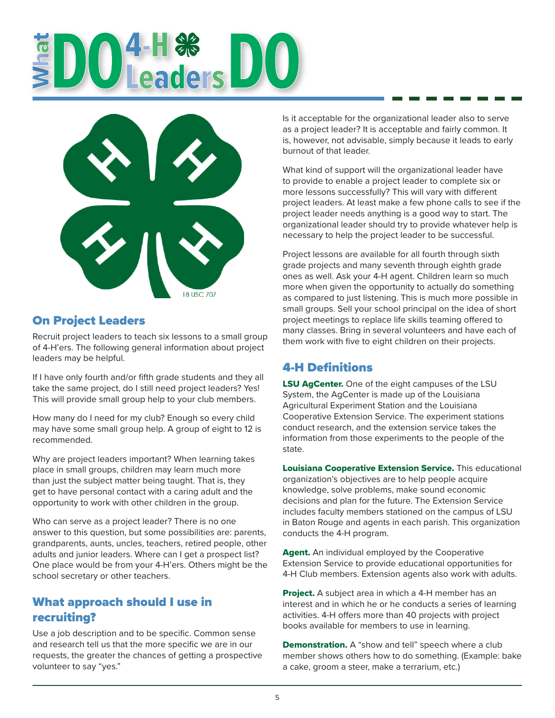# **DO**<sup>4-H &</sup><br>POLeaders



# On Project Leaders

Recruit project leaders to teach six lessons to a small group of 4-H'ers. The following general information about project leaders may be helpful.

If I have only fourth and/or fifth grade students and they all take the same project, do I still need project leaders? Yes! This will provide small group help to your club members.

How many do I need for my club? Enough so every child may have some small group help. A group of eight to 12 is recommended.

Why are project leaders important? When learning takes place in small groups, children may learn much more than just the subject matter being taught. That is, they get to have personal contact with a caring adult and the opportunity to work with other children in the group.

Who can serve as a project leader? There is no one answer to this question, but some possibilities are: parents, grandparents, aunts, uncles, teachers, retired people, other adults and junior leaders. Where can I get a prospect list? One place would be from your 4-H'ers. Others might be the school secretary or other teachers.

# What approach should I use in recruiting?

Use a job description and to be specific. Common sense and research tell us that the more specific we are in our requests, the greater the chances of getting a prospective volunteer to say "yes."

Is it acceptable for the organizational leader also to serve as a project leader? It is acceptable and fairly common. It is, however, not advisable, simply because it leads to early burnout of that leader.

What kind of support will the organizational leader have to provide to enable a project leader to complete six or more lessons successfully? This will vary with different project leaders. At least make a few phone calls to see if the project leader needs anything is a good way to start. The organizational leader should try to provide whatever help is necessary to help the project leader to be successful.

Project lessons are available for all fourth through sixth grade projects and many seventh through eighth grade ones as well. Ask your 4-H agent. Children learn so much more when given the opportunity to actually do something as compared to just listening. This is much more possible in small groups. Sell your school principal on the idea of short project meetings to replace life skills teaming offered to many classes. Bring in several volunteers and have each of them work with five to eight children on their projects.

# 4-H Definitions

**LSU AgCenter.** One of the eight campuses of the LSU System, the AgCenter is made up of the Louisiana Agricultural Experiment Station and the Louisiana Cooperative Extension Service. The experiment stations conduct research, and the extension service takes the information from those experiments to the people of the state.

Louisiana Cooperative Extension Service. This educational organization's objectives are to help people acquire knowledge, solve problems, make sound economic decisions and plan for the future. The Extension Service includes faculty members stationed on the campus of LSU in Baton Rouge and agents in each parish. This organization conducts the 4-H program.

Agent. An individual employed by the Cooperative Extension Service to provide educational opportunities for 4-H Club members. Extension agents also work with adults.

Project. A subject area in which a 4-H member has an interest and in which he or he conducts a series of learning activities. 4-H offers more than 40 projects with project books available for members to use in learning.

**Demonstration.** A "show and tell" speech where a club member shows others how to do something. (Example: bake a cake, groom a steer, make a terrarium, etc.)